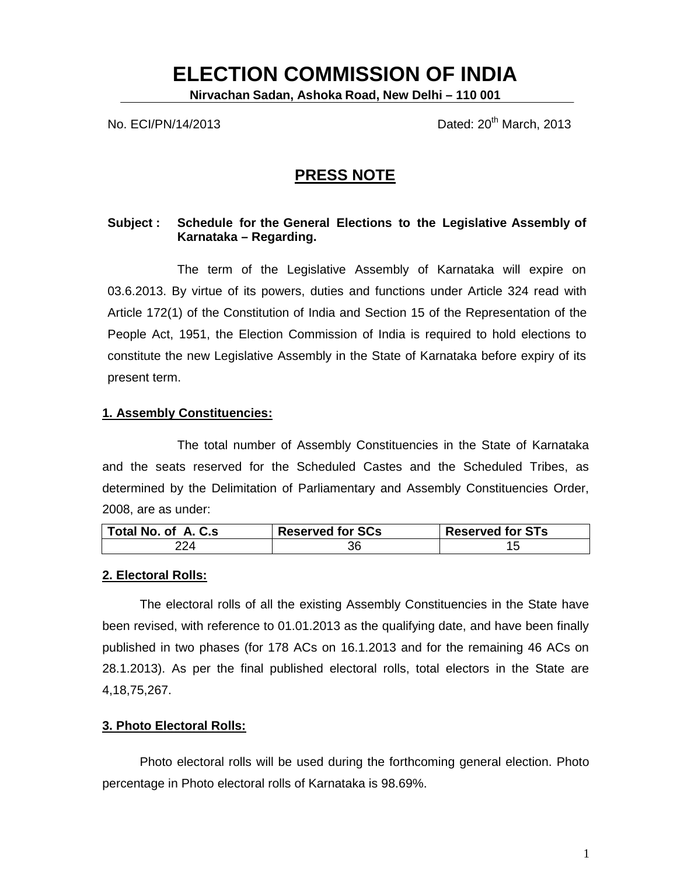# **ELECTION COMMISSION OF INDIA**

**Nirvachan Sadan, Ashoka Road, New Delhi – 110 001**

No. ECI/PN/14/2013 **No.** ECI/PN/14/2013

## **PRESS NOTE**

## **Subject : Schedule for the General Elections to the Legislative Assembly of Karnataka – Regarding.**

The term of the Legislative Assembly of Karnataka will expire on 03.6.2013. By virtue of its powers, duties and functions under Article 324 read with Article 172(1) of the Constitution of India and Section 15 of the Representation of the People Act, 1951, the Election Commission of India is required to hold elections to constitute the new Legislative Assembly in the State of Karnataka before expiry of its present term.

## **1. Assembly Constituencies:**

The total number of Assembly Constituencies in the State of Karnataka and the seats reserved for the Scheduled Castes and the Scheduled Tribes, as determined by the Delimitation of Parliamentary and Assembly Constituencies Order, 2008, are as under:

| Total No. of A. C.s. | <b>Reserved for SCs</b> | <b>Reserved for STs</b> |
|----------------------|-------------------------|-------------------------|
| 224                  | 36                      |                         |

## **2. Electoral Rolls:**

The electoral rolls of all the existing Assembly Constituencies in the State have been revised, with reference to 01.01.2013 as the qualifying date, and have been finally published in two phases (for 178 ACs on 16.1.2013 and for the remaining 46 ACs on 28.1.2013). As per the final published electoral rolls, total electors in the State are 4,18,75,267.

## **3. Photo Electoral Rolls:**

Photo electoral rolls will be used during the forthcoming general election. Photo percentage in Photo electoral rolls of Karnataka is 98.69%.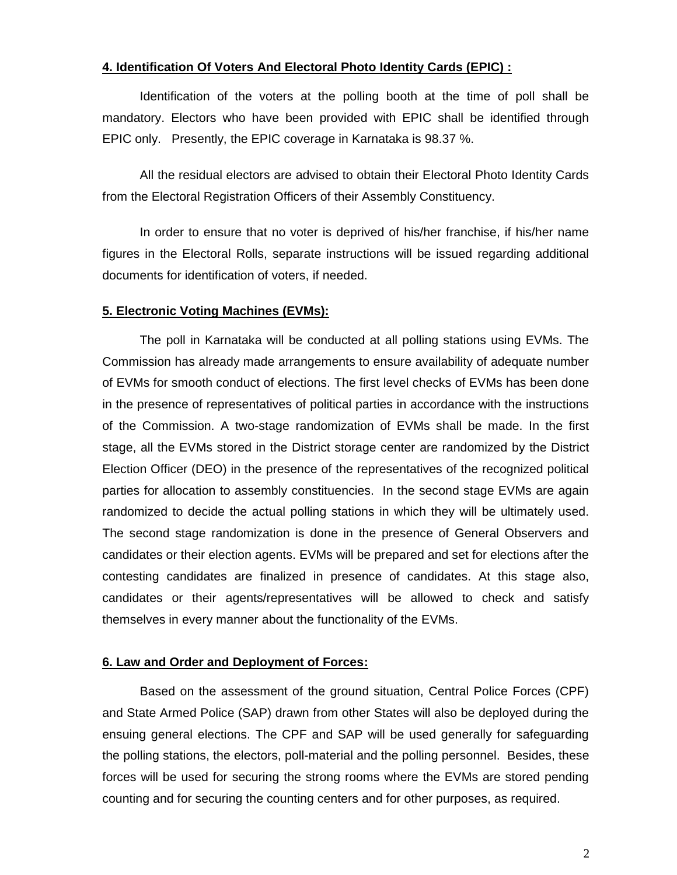## **4. Identification Of Voters And Electoral Photo Identity Cards (EPIC) :**

Identification of the voters at the polling booth at the time of poll shall be mandatory. Electors who have been provided with EPIC shall be identified through EPIC only. Presently, the EPIC coverage in Karnataka is 98.37 %.

All the residual electors are advised to obtain their Electoral Photo Identity Cards from the Electoral Registration Officers of their Assembly Constituency.

In order to ensure that no voter is deprived of his/her franchise, if his/her name figures in the Electoral Rolls, separate instructions will be issued regarding additional documents for identification of voters, if needed.

#### **5. Electronic Voting Machines (EVMs):**

The poll in Karnataka will be conducted at all polling stations using EVMs. The Commission has already made arrangements to ensure availability of adequate number of EVMs for smooth conduct of elections. The first level checks of EVMs has been done in the presence of representatives of political parties in accordance with the instructions of the Commission. A two-stage randomization of EVMs shall be made. In the first stage, all the EVMs stored in the District storage center are randomized by the District Election Officer (DEO) in the presence of the representatives of the recognized political parties for allocation to assembly constituencies. In the second stage EVMs are again randomized to decide the actual polling stations in which they will be ultimately used. The second stage randomization is done in the presence of General Observers and candidates or their election agents. EVMs will be prepared and set for elections after the contesting candidates are finalized in presence of candidates. At this stage also, candidates or their agents/representatives will be allowed to check and satisfy themselves in every manner about the functionality of the EVMs.

#### **6. Law and Order and Deployment of Forces:**

Based on the assessment of the ground situation, Central Police Forces (CPF) and State Armed Police (SAP) drawn from other States will also be deployed during the ensuing general elections. The CPF and SAP will be used generally for safeguarding the polling stations, the electors, poll-material and the polling personnel. Besides, these forces will be used for securing the strong rooms where the EVMs are stored pending counting and for securing the counting centers and for other purposes, as required.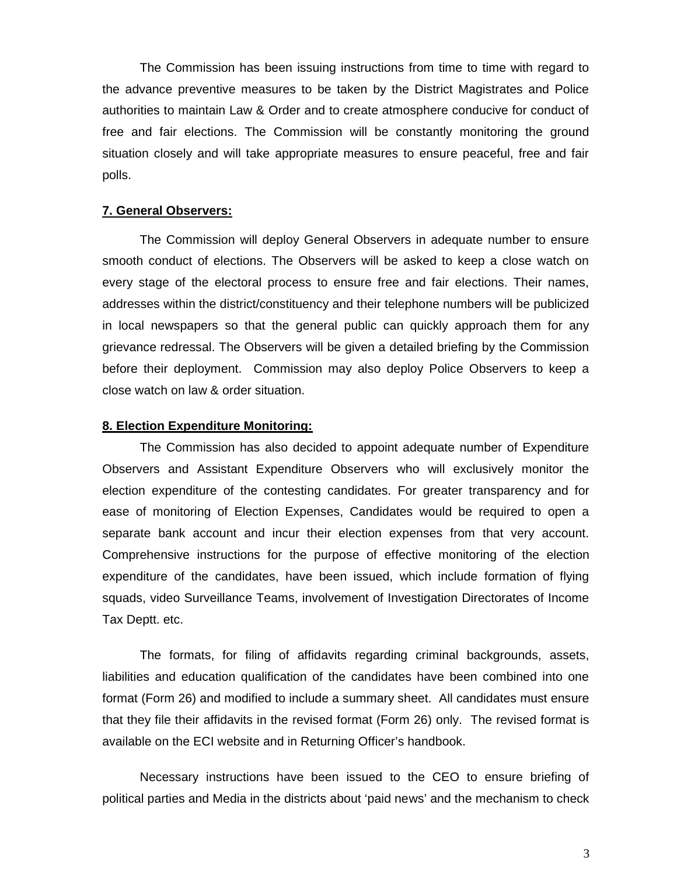The Commission has been issuing instructions from time to time with regard to the advance preventive measures to be taken by the District Magistrates and Police authorities to maintain Law & Order and to create atmosphere conducive for conduct of free and fair elections. The Commission will be constantly monitoring the ground situation closely and will take appropriate measures to ensure peaceful, free and fair polls.

#### **7. General Observers:**

The Commission will deploy General Observers in adequate number to ensure smooth conduct of elections. The Observers will be asked to keep a close watch on every stage of the electoral process to ensure free and fair elections. Their names, addresses within the district/constituency and their telephone numbers will be publicized in local newspapers so that the general public can quickly approach them for any grievance redressal. The Observers will be given a detailed briefing by the Commission before their deployment. Commission may also deploy Police Observers to keep a close watch on law & order situation.

#### **8. Election Expenditure Monitoring:**

The Commission has also decided to appoint adequate number of Expenditure Observers and Assistant Expenditure Observers who will exclusively monitor the election expenditure of the contesting candidates. For greater transparency and for ease of monitoring of Election Expenses, Candidates would be required to open a separate bank account and incur their election expenses from that very account. Comprehensive instructions for the purpose of effective monitoring of the election expenditure of the candidates, have been issued, which include formation of flying squads, video Surveillance Teams, involvement of Investigation Directorates of Income Tax Deptt. etc.

The formats, for filing of affidavits regarding criminal backgrounds, assets, liabilities and education qualification of the candidates have been combined into one format (Form 26) and modified to include a summary sheet. All candidates must ensure that they file their affidavits in the revised format (Form 26) only. The revised format is available on the ECI website and in Returning Officer's handbook.

Necessary instructions have been issued to the CEO to ensure briefing of political parties and Media in the districts about 'paid news' and the mechanism to check

3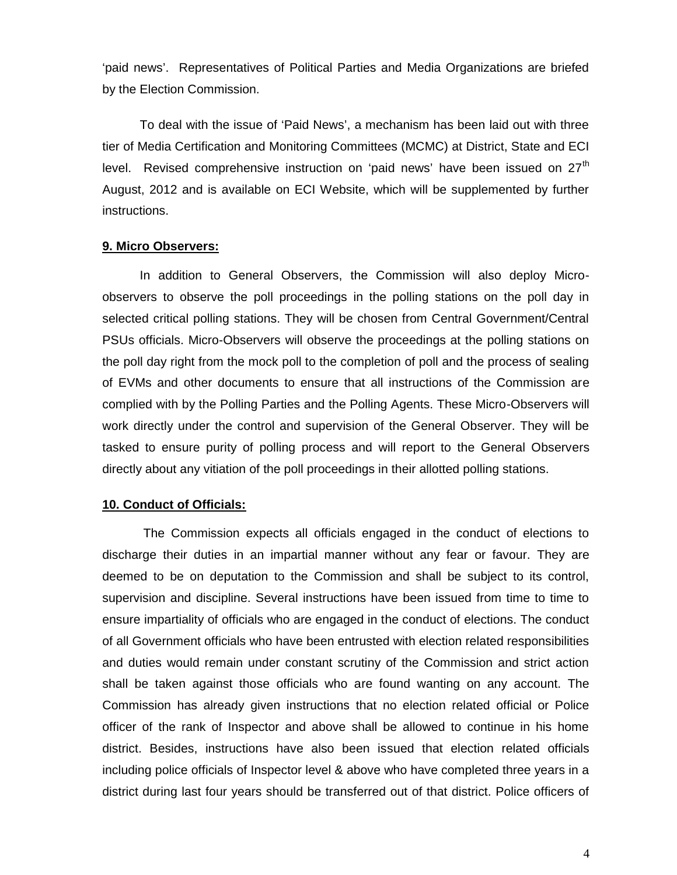'paid news'. Representatives of Political Parties and Media Organizations are briefed by the Election Commission.

To deal with the issue of 'Paid News', a mechanism has been laid out with three tier of Media Certification and Monitoring Committees (MCMC) at District, State and ECI level. Revised comprehensive instruction on 'paid news' have been issued on  $27<sup>th</sup>$ August, 2012 and is available on ECI Website, which will be supplemented by further instructions.

#### **9. Micro Observers:**

In addition to General Observers, the Commission will also deploy Microobservers to observe the poll proceedings in the polling stations on the poll day in selected critical polling stations. They will be chosen from Central Government/Central PSUs officials. Micro-Observers will observe the proceedings at the polling stations on the poll day right from the mock poll to the completion of poll and the process of sealing of EVMs and other documents to ensure that all instructions of the Commission are complied with by the Polling Parties and the Polling Agents. These Micro-Observers will work directly under the control and supervision of the General Observer. They will be tasked to ensure purity of polling process and will report to the General Observers directly about any vitiation of the poll proceedings in their allotted polling stations.

#### **10. Conduct of Officials:**

The Commission expects all officials engaged in the conduct of elections to discharge their duties in an impartial manner without any fear or favour. They are deemed to be on deputation to the Commission and shall be subject to its control, supervision and discipline. Several instructions have been issued from time to time to ensure impartiality of officials who are engaged in the conduct of elections. The conduct of all Government officials who have been entrusted with election related responsibilities and duties would remain under constant scrutiny of the Commission and strict action shall be taken against those officials who are found wanting on any account. The Commission has already given instructions that no election related official or Police officer of the rank of Inspector and above shall be allowed to continue in his home district. Besides, instructions have also been issued that election related officials including police officials of Inspector level & above who have completed three years in a district during last four years should be transferred out of that district. Police officers of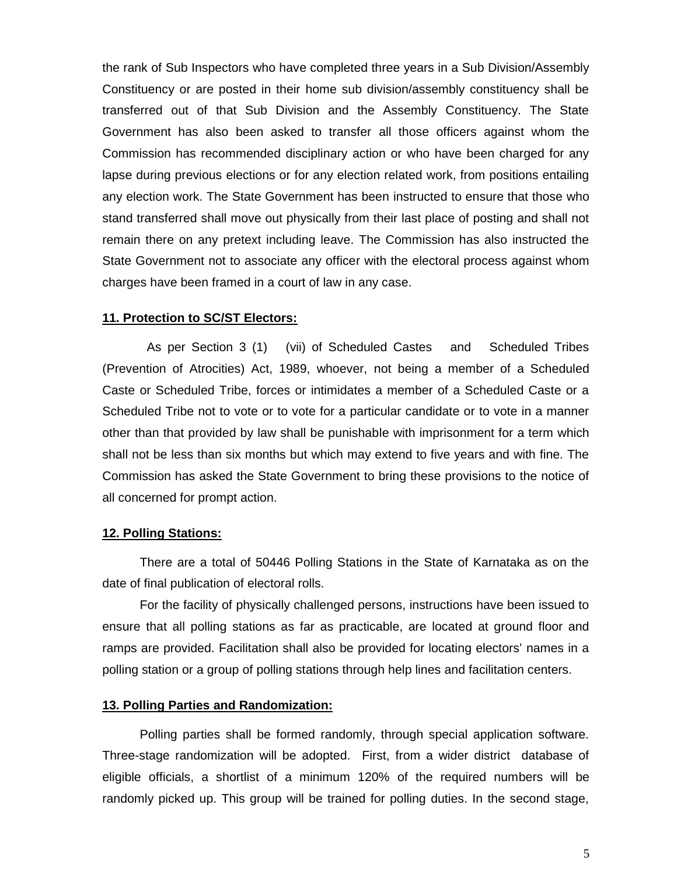the rank of Sub Inspectors who have completed three years in a Sub Division/Assembly Constituency or are posted in their home sub division/assembly constituency shall be transferred out of that Sub Division and the Assembly Constituency. The State Government has also been asked to transfer all those officers against whom the Commission has recommended disciplinary action or who have been charged for any lapse during previous elections or for any election related work, from positions entailing any election work. The State Government has been instructed to ensure that those who stand transferred shall move out physically from their last place of posting and shall not remain there on any pretext including leave. The Commission has also instructed the State Government not to associate any officer with the electoral process against whom charges have been framed in a court of law in any case.

#### **11. Protection to SC/ST Electors:**

As per Section 3 (1) (vii) of Scheduled Castes and Scheduled Tribes (Prevention of Atrocities) Act, 1989, whoever, not being a member of a Scheduled Caste or Scheduled Tribe, forces or intimidates a member of a Scheduled Caste or a Scheduled Tribe not to vote or to vote for a particular candidate or to vote in a manner other than that provided by law shall be punishable with imprisonment for a term which shall not be less than six months but which may extend to five years and with fine. The Commission has asked the State Government to bring these provisions to the notice of all concerned for prompt action.

#### **12. Polling Stations:**

There are a total of 50446 Polling Stations in the State of Karnataka as on the date of final publication of electoral rolls.

For the facility of physically challenged persons, instructions have been issued to ensure that all polling stations as far as practicable, are located at ground floor and ramps are provided. Facilitation shall also be provided for locating electors' names in a polling station or a group of polling stations through help lines and facilitation centers.

#### **13. Polling Parties and Randomization:**

Polling parties shall be formed randomly, through special application software. Three-stage randomization will be adopted. First, from a wider district database of eligible officials, a shortlist of a minimum 120% of the required numbers will be randomly picked up. This group will be trained for polling duties. In the second stage,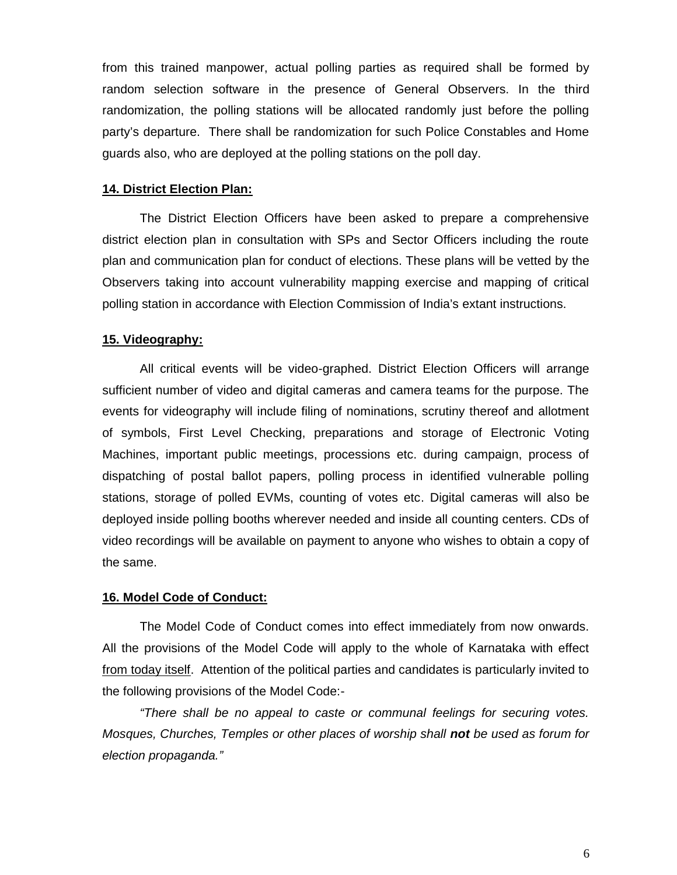from this trained manpower, actual polling parties as required shall be formed by random selection software in the presence of General Observers. In the third randomization, the polling stations will be allocated randomly just before the polling party's departure. There shall be randomization for such Police Constables and Home guards also, who are deployed at the polling stations on the poll day.

#### **14. District Election Plan:**

The District Election Officers have been asked to prepare a comprehensive district election plan in consultation with SPs and Sector Officers including the route plan and communication plan for conduct of elections. These plans will be vetted by the Observers taking into account vulnerability mapping exercise and mapping of critical polling station in accordance with Election Commission of India's extant instructions.

#### **15. Videography:**

All critical events will be video-graphed. District Election Officers will arrange sufficient number of video and digital cameras and camera teams for the purpose. The events for videography will include filing of nominations, scrutiny thereof and allotment of symbols, First Level Checking, preparations and storage of Electronic Voting Machines, important public meetings, processions etc. during campaign, process of dispatching of postal ballot papers, polling process in identified vulnerable polling stations, storage of polled EVMs, counting of votes etc. Digital cameras will also be deployed inside polling booths wherever needed and inside all counting centers. CDs of video recordings will be available on payment to anyone who wishes to obtain a copy of the same.

#### **16. Model Code of Conduct:**

The Model Code of Conduct comes into effect immediately from now onwards. All the provisions of the Model Code will apply to the whole of Karnataka with effect from today itself. Attention of the political parties and candidates is particularly invited to the following provisions of the Model Code:-

*"There shall be no appeal to caste or communal feelings for securing votes. Mosques, Churches, Temples or other places of worship shall not be used as forum for election propaganda."*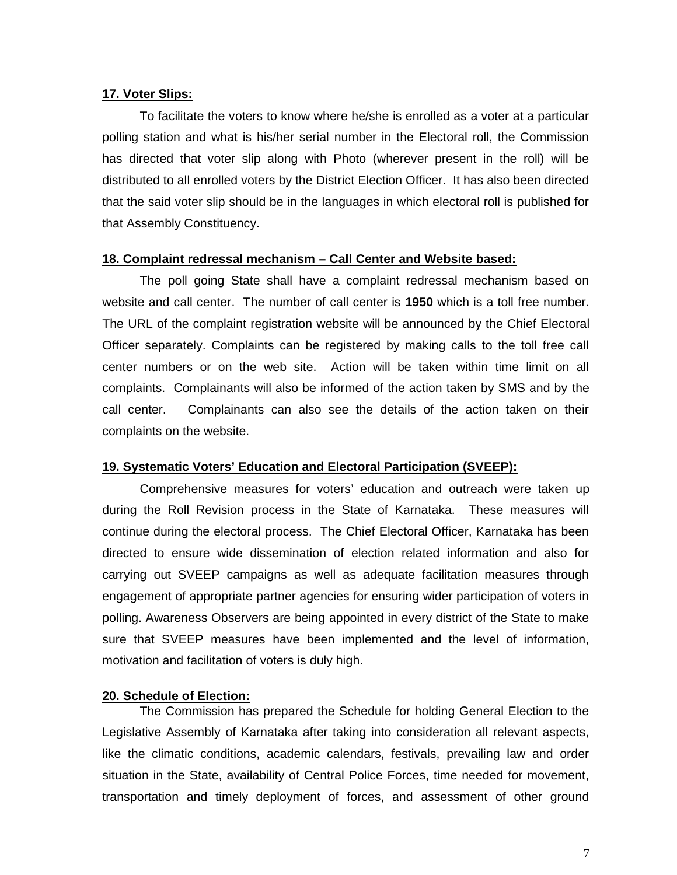### **17. Voter Slips:**

To facilitate the voters to know where he/she is enrolled as a voter at a particular polling station and what is his/her serial number in the Electoral roll, the Commission has directed that voter slip along with Photo (wherever present in the roll) will be distributed to all enrolled voters by the District Election Officer. It has also been directed that the said voter slip should be in the languages in which electoral roll is published for that Assembly Constituency.

#### **18. Complaint redressal mechanism – Call Center and Website based:**

The poll going State shall have a complaint redressal mechanism based on website and call center. The number of call center is **1950** which is a toll free number. The URL of the complaint registration website will be announced by the Chief Electoral Officer separately. Complaints can be registered by making calls to the toll free call center numbers or on the web site. Action will be taken within time limit on all complaints. Complainants will also be informed of the action taken by SMS and by the call center. Complainants can also see the details of the action taken on their complaints on the website.

#### **19. Systematic Voters' Education and Electoral Participation (SVEEP):**

Comprehensive measures for voters' education and outreach were taken up during the Roll Revision process in the State of Karnataka. These measures will continue during the electoral process. The Chief Electoral Officer, Karnataka has been directed to ensure wide dissemination of election related information and also for carrying out SVEEP campaigns as well as adequate facilitation measures through engagement of appropriate partner agencies for ensuring wider participation of voters in polling. Awareness Observers are being appointed in every district of the State to make sure that SVEEP measures have been implemented and the level of information, motivation and facilitation of voters is duly high.

#### **20. Schedule of Election:**

The Commission has prepared the Schedule for holding General Election to the Legislative Assembly of Karnataka after taking into consideration all relevant aspects, like the climatic conditions, academic calendars, festivals, prevailing law and order situation in the State, availability of Central Police Forces, time needed for movement, transportation and timely deployment of forces, and assessment of other ground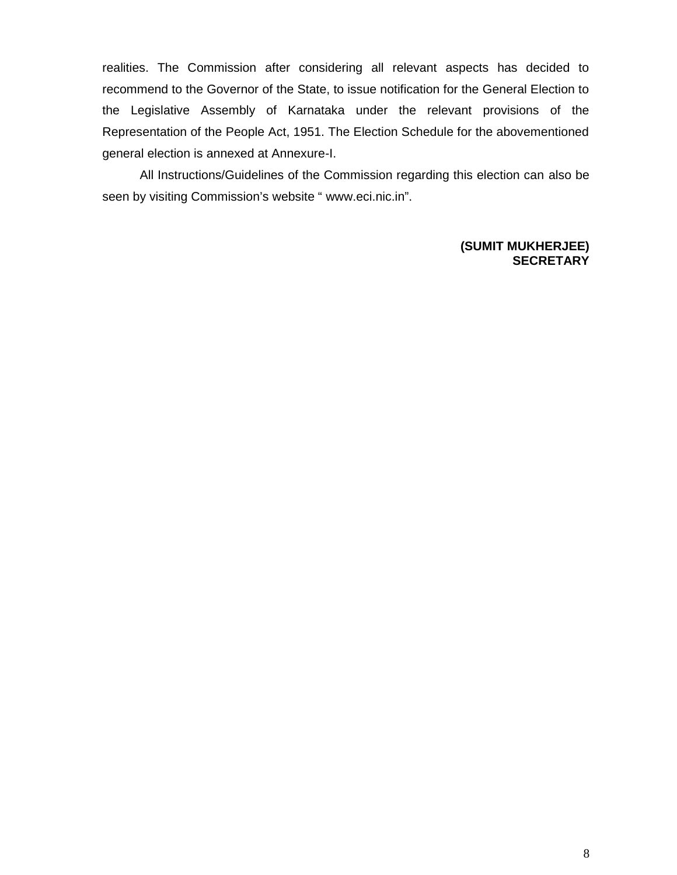realities. The Commission after considering all relevant aspects has decided to recommend to the Governor of the State, to issue notification for the General Election to the Legislative Assembly of Karnataka under the relevant provisions of the Representation of the People Act, 1951. The Election Schedule for the abovementioned general election is annexed at Annexure-I.

All Instructions/Guidelines of the Commission regarding this election can also be seen by visiting Commission€s website, www.eci.nic.inf.

> (SUMIT MUKHERJEE) **SECRETARY**